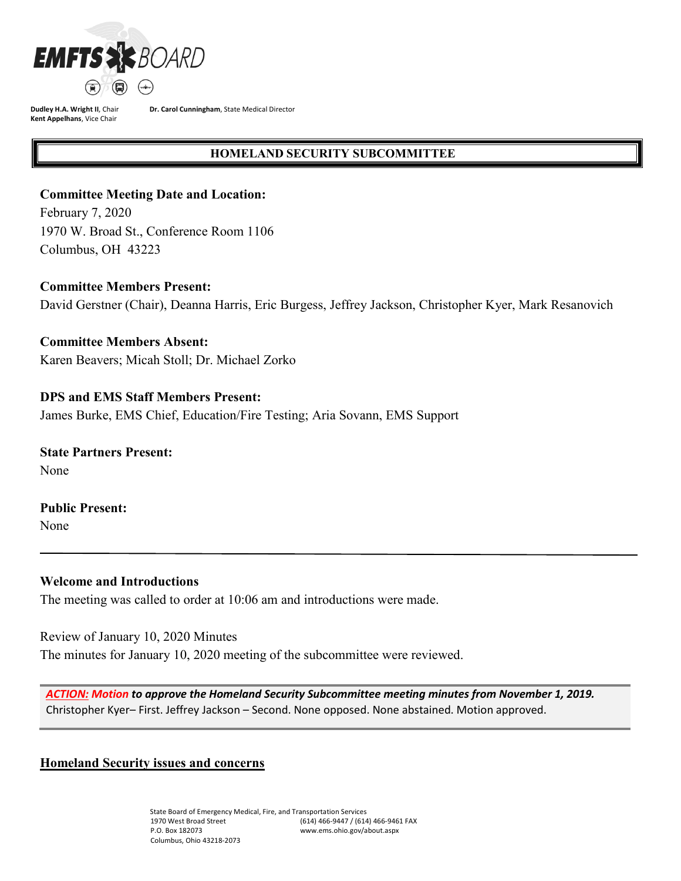

**Dr. Carol Cunningham**, State Medical Director

#### **HOMELAND SECURITY SUBCOMMITTEE**

#### **Committee Meeting Date and Location:**

February 7, 2020 1970 W. Broad St., Conference Room 1106 Columbus, OH 43223

**Committee Members Present:**

David Gerstner (Chair), Deanna Harris, Eric Burgess, Jeffrey Jackson, Christopher Kyer, Mark Resanovich

**Committee Members Absent:** Karen Beavers; Micah Stoll; Dr. Michael Zorko

#### **DPS and EMS Staff Members Present:**

James Burke, EMS Chief, Education/Fire Testing; Aria Sovann, EMS Support

**State Partners Present:** None

**Public Present:**

None

# **Welcome and Introductions**

The meeting was called to order at 10:06 am and introductions were made.

Review of January 10, 2020 Minutes The minutes for January 10, 2020 meeting of the subcommittee were reviewed.

*ACTION: Motion to approve the Homeland Security Subcommittee meeting minutes from November 1, 2019.*  Christopher Kyer– First. Jeffrey Jackson – Second. None opposed. None abstained. Motion approved.

#### **Homeland Security issues and concerns**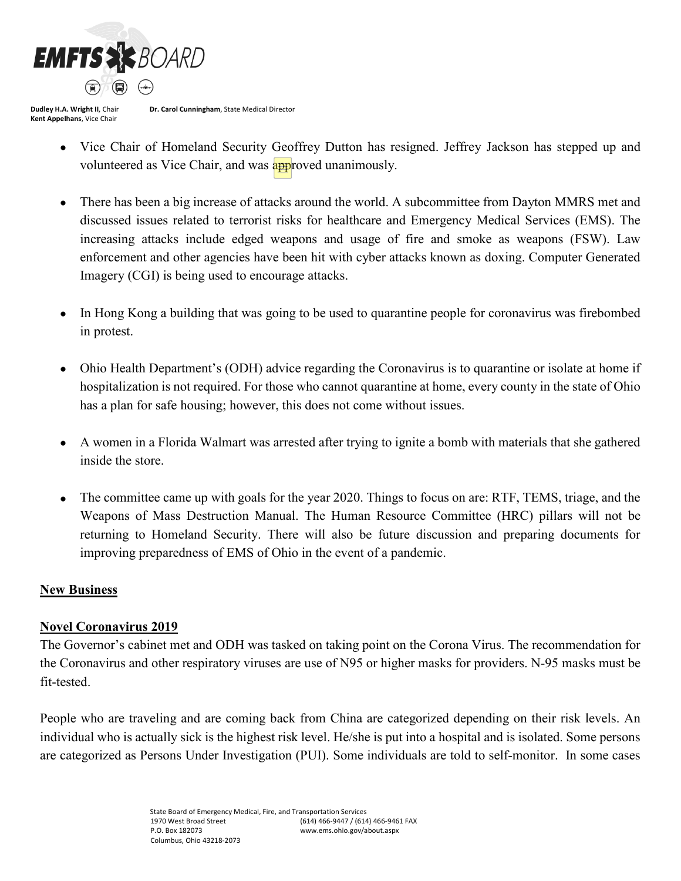

**Dr. Carol Cunningham**, State Medical Director

- Vice Chair of Homeland Security Geoffrey Dutton has resigned. Jeffrey Jackson has stepped up and volunteered as Vice Chair, and was approved unanimously.
- There has been a big increase of attacks around the world. A subcommittee from Dayton MMRS met and discussed issues related to terrorist risks for healthcare and Emergency Medical Services (EMS). The increasing attacks include edged weapons and usage of fire and smoke as weapons (FSW). Law enforcement and other agencies have been hit with cyber attacks known as doxing. Computer Generated Imagery (CGI) is being used to encourage attacks.
- In Hong Kong a building that was going to be used to quarantine people for coronavirus was firebombed in protest.
- Ohio Health Department's (ODH) advice regarding the Coronavirus is to quarantine or isolate at home if hospitalization is not required. For those who cannot quarantine at home, every county in the state of Ohio has a plan for safe housing; however, this does not come without issues.
- A women in a Florida Walmart was arrested after trying to ignite a bomb with materials that she gathered inside the store.
- The committee came up with goals for the year 2020. Things to focus on are: RTF, TEMS, triage, and the Weapons of Mass Destruction Manual. The Human Resource Committee (HRC) pillars will not be returning to Homeland Security. There will also be future discussion and preparing documents for improving preparedness of EMS of Ohio in the event of a pandemic.

# **New Business**

# **Novel Coronavirus 2019**

The Governor's cabinet met and ODH was tasked on taking point on the Corona Virus. The recommendation for the Coronavirus and other respiratory viruses are use of N95 or higher masks for providers. N-95 masks must be fit-tested.

People who are traveling and are coming back from China are categorized depending on their risk levels. An individual who is actually sick is the highest risk level. He/she is put into a hospital and is isolated. Some persons are categorized as Persons Under Investigation (PUI). Some individuals are told to self-monitor. In some cases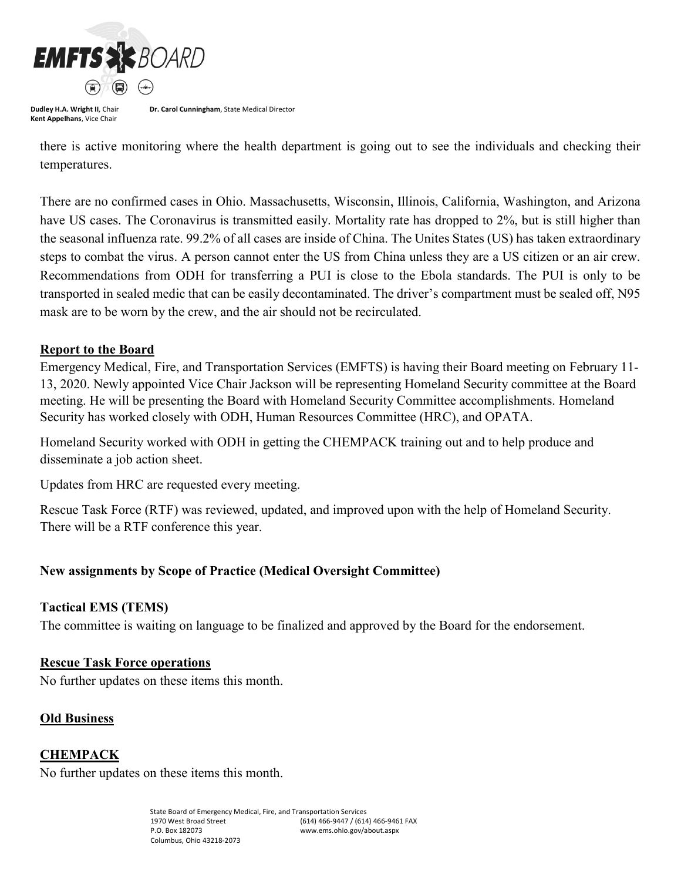

**Dr. Carol Cunningham**, State Medical Director

there is active monitoring where the health department is going out to see the individuals and checking their temperatures.

There are no confirmed cases in Ohio. Massachusetts, Wisconsin, Illinois, California, Washington, and Arizona have US cases. The Coronavirus is transmitted easily. Mortality rate has dropped to 2%, but is still higher than the seasonal influenza rate. 99.2% of all cases are inside of China. The Unites States (US) has taken extraordinary steps to combat the virus. A person cannot enter the US from China unless they are a US citizen or an air crew. Recommendations from ODH for transferring a PUI is close to the Ebola standards. The PUI is only to be transported in sealed medic that can be easily decontaminated. The driver's compartment must be sealed off, N95 mask are to be worn by the crew, and the air should not be recirculated.

#### **Report to the Board**

Emergency Medical, Fire, and Transportation Services (EMFTS) is having their Board meeting on February 11- 13, 2020. Newly appointed Vice Chair Jackson will be representing Homeland Security committee at the Board meeting. He will be presenting the Board with Homeland Security Committee accomplishments. Homeland Security has worked closely with ODH, Human Resources Committee (HRC), and OPATA.

Homeland Security worked with ODH in getting the CHEMPACK training out and to help produce and disseminate a job action sheet.

Updates from HRC are requested every meeting.

Rescue Task Force (RTF) was reviewed, updated, and improved upon with the help of Homeland Security. There will be a RTF conference this year.

# **New assignments by Scope of Practice (Medical Oversight Committee)**

#### **Tactical EMS (TEMS)**

The committee is waiting on language to be finalized and approved by the Board for the endorsement.

# **Rescue Task Force operations**

No further updates on these items this month.

#### **Old Business**

**CHEMPACK**

No further updates on these items this month.

State Board of Emergency Medical, Fire, and Transportation Services 1970 West Broad Street P.O. Box 182073 Columbus, Ohio 43218-2073 (614) 466-9447 / (614) 466-9461 FAX www.ems.ohio.gov/about.aspx